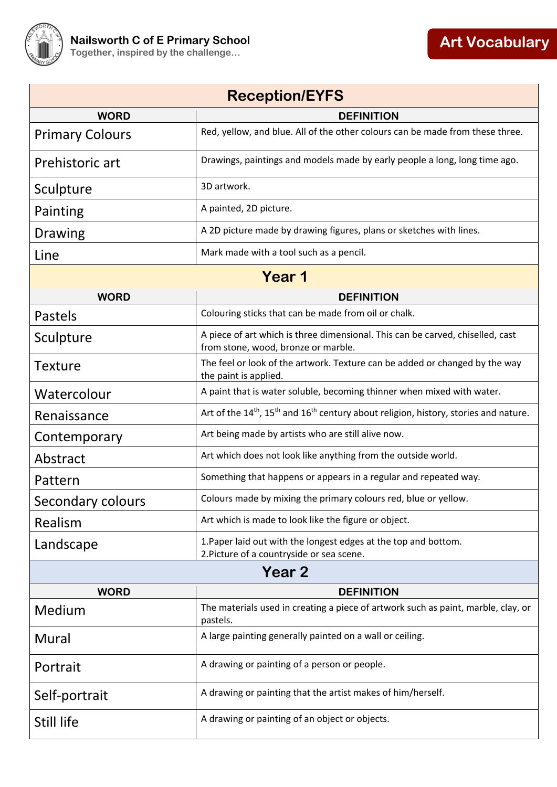

| <b>Reception/EYFS</b>  |                                                                                                                          |  |  |
|------------------------|--------------------------------------------------------------------------------------------------------------------------|--|--|
| <b>WORD</b>            | <b>DEFINITION</b>                                                                                                        |  |  |
| <b>Primary Colours</b> | Red, yellow, and blue. All of the other colours can be made from these three.                                            |  |  |
| Prehistoric art        | Drawings, paintings and models made by early people a long, long time ago.                                               |  |  |
| Sculpture              | 3D artwork.                                                                                                              |  |  |
| Painting               | A painted, 2D picture.                                                                                                   |  |  |
| Drawing                | A 2D picture made by drawing figures, plans or sketches with lines.                                                      |  |  |
| Line                   | Mark made with a tool such as a pencil.                                                                                  |  |  |
| Year 1                 |                                                                                                                          |  |  |
| <b>WORD</b>            | <b>DEFINITION</b>                                                                                                        |  |  |
| <b>Pastels</b>         | Colouring sticks that can be made from oil or chalk.                                                                     |  |  |
| Sculpture              | A piece of art which is three dimensional. This can be carved, chiselled, cast<br>from stone, wood, bronze or marble.    |  |  |
| <b>Texture</b>         | The feel or look of the artwork. Texture can be added or changed by the way<br>the paint is applied.                     |  |  |
| Watercolour            | A paint that is water soluble, becoming thinner when mixed with water.                                                   |  |  |
| Renaissance            | Art of the 14 <sup>th</sup> , 15 <sup>th</sup> and 16 <sup>th</sup> century about religion, history, stories and nature. |  |  |
| Contemporary           | Art being made by artists who are still alive now.                                                                       |  |  |
| Abstract               | Art which does not look like anything from the outside world.                                                            |  |  |
| Pattern                | Something that happens or appears in a regular and repeated way.                                                         |  |  |
| Secondary colours      | Colours made by mixing the primary colours red, blue or yellow.                                                          |  |  |
| Realism                | Art which is made to look like the figure or object.                                                                     |  |  |
| Landscape              | 1. Paper laid out with the longest edges at the top and bottom.<br>2. Picture of a countryside or sea scene.             |  |  |
| Year <sub>2</sub>      |                                                                                                                          |  |  |
| <b>WORD</b>            | <b>DEFINITION</b>                                                                                                        |  |  |
| Medium                 | The materials used in creating a piece of artwork such as paint, marble, clay, or<br>pastels.                            |  |  |
| Mural                  | A large painting generally painted on a wall or ceiling.                                                                 |  |  |
| Portrait               | A drawing or painting of a person or people.                                                                             |  |  |
| Self-portrait          | A drawing or painting that the artist makes of him/herself.                                                              |  |  |
| Still life             | A drawing or painting of an object or objects.                                                                           |  |  |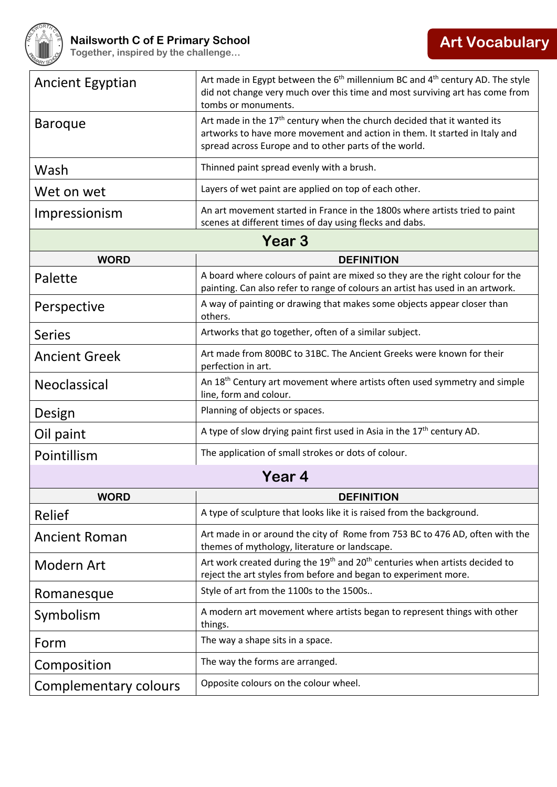

| <b>Ancient Egyptian</b> | Art made in Egypt between the $6th$ millennium BC and $4th$ century AD. The style<br>did not change very much over this time and most surviving art has come from<br>tombs or monuments.                                   |  |  |  |
|-------------------------|----------------------------------------------------------------------------------------------------------------------------------------------------------------------------------------------------------------------------|--|--|--|
| <b>Baroque</b>          | Art made in the 17 <sup>th</sup> century when the church decided that it wanted its<br>artworks to have more movement and action in them. It started in Italy and<br>spread across Europe and to other parts of the world. |  |  |  |
| Wash                    | Thinned paint spread evenly with a brush.                                                                                                                                                                                  |  |  |  |
| Wet on wet              | Layers of wet paint are applied on top of each other.                                                                                                                                                                      |  |  |  |
| Impressionism           | An art movement started in France in the 1800s where artists tried to paint<br>scenes at different times of day using flecks and dabs.                                                                                     |  |  |  |
| Year 3                  |                                                                                                                                                                                                                            |  |  |  |
| <b>WORD</b>             | <b>DEFINITION</b>                                                                                                                                                                                                          |  |  |  |
| Palette                 | A board where colours of paint are mixed so they are the right colour for the<br>painting. Can also refer to range of colours an artist has used in an artwork.                                                            |  |  |  |
| Perspective             | A way of painting or drawing that makes some objects appear closer than<br>others.                                                                                                                                         |  |  |  |
| <b>Series</b>           | Artworks that go together, often of a similar subject.                                                                                                                                                                     |  |  |  |
| <b>Ancient Greek</b>    | Art made from 800BC to 31BC. The Ancient Greeks were known for their<br>perfection in art.                                                                                                                                 |  |  |  |
| Neoclassical            | An 18 <sup>th</sup> Century art movement where artists often used symmetry and simple<br>line, form and colour.                                                                                                            |  |  |  |
| Design                  | Planning of objects or spaces.                                                                                                                                                                                             |  |  |  |
| Oil paint               | A type of slow drying paint first used in Asia in the $17th$ century AD.                                                                                                                                                   |  |  |  |
| Pointillism             | The application of small strokes or dots of colour.                                                                                                                                                                        |  |  |  |
| Year 4                  |                                                                                                                                                                                                                            |  |  |  |
| <b>WORD</b>             | <b>DEFINITION</b>                                                                                                                                                                                                          |  |  |  |
| Relief                  | A type of sculpture that looks like it is raised from the background.                                                                                                                                                      |  |  |  |
| <b>Ancient Roman</b>    | Art made in or around the city of Rome from 753 BC to 476 AD, often with the<br>themes of mythology, literature or landscape.                                                                                              |  |  |  |
| <b>Modern Art</b>       | Art work created during the 19 <sup>th</sup> and 20 <sup>th</sup> centuries when artists decided to<br>reject the art styles from before and began to experiment more.                                                     |  |  |  |
| Romanesque              | Style of art from the 1100s to the 1500s                                                                                                                                                                                   |  |  |  |
| Symbolism               | A modern art movement where artists began to represent things with other<br>things.                                                                                                                                        |  |  |  |
| Form                    | The way a shape sits in a space.                                                                                                                                                                                           |  |  |  |
| Composition             | The way the forms are arranged.                                                                                                                                                                                            |  |  |  |
| Complementary colours   | Opposite colours on the colour wheel.                                                                                                                                                                                      |  |  |  |